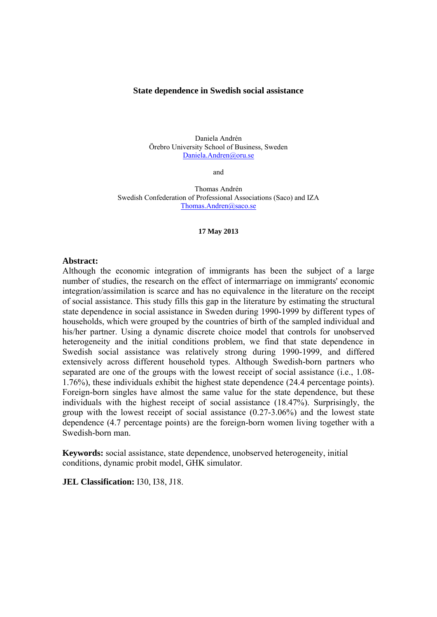#### **State dependence in Swedish social assistance**

Daniela Andrén Örebro University School of Business, Sweden Daniela.Andren@oru.se

and

Thomas Andrén Swedish Confederation of Professional Associations (Saco) and IZA Thomas.Andren@saco.se

#### **17 May 2013**

#### **Abstract:**

Although the economic integration of immigrants has been the subject of a large number of studies, the research on the effect of intermarriage on immigrants' economic integration/assimilation is scarce and has no equivalence in the literature on the receipt of social assistance. This study fills this gap in the literature by estimating the structural state dependence in social assistance in Sweden during 1990-1999 by different types of households, which were grouped by the countries of birth of the sampled individual and his/her partner. Using a dynamic discrete choice model that controls for unobserved heterogeneity and the initial conditions problem, we find that state dependence in Swedish social assistance was relatively strong during 1990-1999, and differed extensively across different household types. Although Swedish-born partners who separated are one of the groups with the lowest receipt of social assistance (i.e., 1.08- 1.76%), these individuals exhibit the highest state dependence (24.4 percentage points). Foreign-born singles have almost the same value for the state dependence, but these individuals with the highest receipt of social assistance (18.47%). Surprisingly, the group with the lowest receipt of social assistance (0.27-3.06%) and the lowest state dependence (4.7 percentage points) are the foreign-born women living together with a Swedish-born man.

**Keywords:** social assistance, state dependence, unobserved heterogeneity, initial conditions, dynamic probit model, GHK simulator.

**JEL Classification:** I30, I38, J18.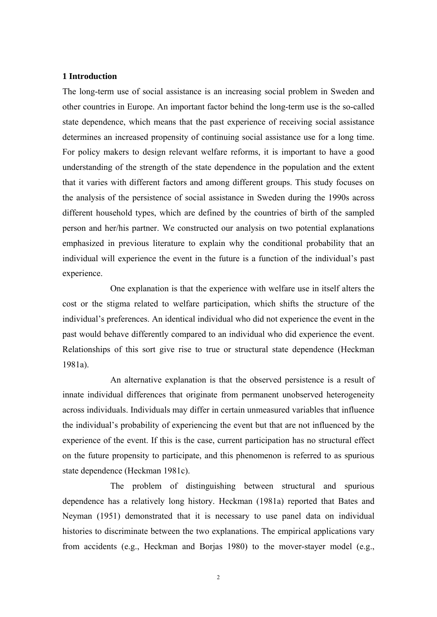#### **1 Introduction**

The long-term use of social assistance is an increasing social problem in Sweden and other countries in Europe. An important factor behind the long-term use is the so-called state dependence, which means that the past experience of receiving social assistance determines an increased propensity of continuing social assistance use for a long time. For policy makers to design relevant welfare reforms, it is important to have a good understanding of the strength of the state dependence in the population and the extent that it varies with different factors and among different groups. This study focuses on the analysis of the persistence of social assistance in Sweden during the 1990s across different household types, which are defined by the countries of birth of the sampled person and her/his partner. We constructed our analysis on two potential explanations emphasized in previous literature to explain why the conditional probability that an individual will experience the event in the future is a function of the individual's past experience.

One explanation is that the experience with welfare use in itself alters the cost or the stigma related to welfare participation, which shifts the structure of the individual's preferences. An identical individual who did not experience the event in the past would behave differently compared to an individual who did experience the event. Relationships of this sort give rise to true or structural state dependence (Heckman 1981a).

An alternative explanation is that the observed persistence is a result of innate individual differences that originate from permanent unobserved heterogeneity across individuals. Individuals may differ in certain unmeasured variables that influence the individual's probability of experiencing the event but that are not influenced by the experience of the event. If this is the case, current participation has no structural effect on the future propensity to participate, and this phenomenon is referred to as spurious state dependence (Heckman 1981c).

The problem of distinguishing between structural and spurious dependence has a relatively long history. Heckman (1981a) reported that Bates and Neyman (1951) demonstrated that it is necessary to use panel data on individual histories to discriminate between the two explanations. The empirical applications vary from accidents (e.g., Heckman and Borjas 1980) to the mover-stayer model (e.g.,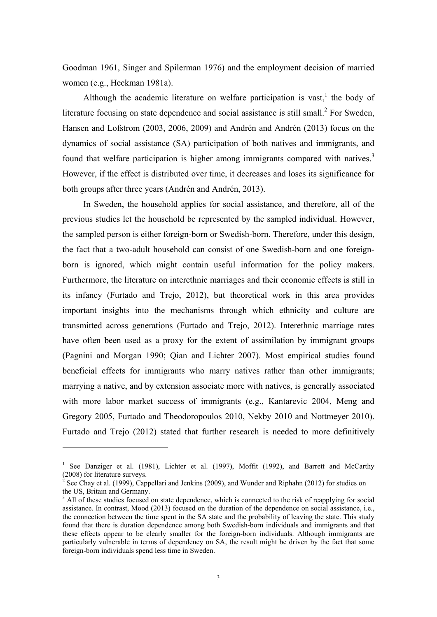Goodman 1961, Singer and Spilerman 1976) and the employment decision of married women (e.g., Heckman 1981a).

Although the academic literature on welfare participation is vast, the body of literature focusing on state dependence and social assistance is still small. $^{2}$  For Sweden, Hansen and Lofstrom (2003, 2006, 2009) and Andrén and Andrén (2013) focus on the dynamics of social assistance (SA) participation of both natives and immigrants, and found that welfare participation is higher among immigrants compared with natives.<sup>3</sup> However, if the effect is distributed over time, it decreases and loses its significance for both groups after three years (Andrén and Andrén, 2013).

In Sweden, the household applies for social assistance, and therefore, all of the previous studies let the household be represented by the sampled individual. However, the sampled person is either foreign-born or Swedish-born. Therefore, under this design, the fact that a two-adult household can consist of one Swedish-born and one foreignborn is ignored, which might contain useful information for the policy makers. Furthermore, the literature on interethnic marriages and their economic effects is still in its infancy (Furtado and Trejo, 2012), but theoretical work in this area provides important insights into the mechanisms through which ethnicity and culture are transmitted across generations (Furtado and Trejo, 2012). Interethnic marriage rates have often been used as a proxy for the extent of assimilation by immigrant groups (Pagnini and Morgan 1990; Qian and Lichter 2007). Most empirical studies found beneficial effects for immigrants who marry natives rather than other immigrants; marrying a native, and by extension associate more with natives, is generally associated with more labor market success of immigrants (e.g., Kantarevic 2004, Meng and Gregory 2005, Furtado and Theodoropoulos 2010, Nekby 2010 and Nottmeyer 2010). Furtado and Trejo (2012) stated that further research is needed to more definitively

1

<sup>&</sup>lt;sup>1</sup> See Danziger et al. (1981), Lichter et al. (1997), Moffit (1992), and Barrett and McCarthy (2008) for literature surveys.

<sup>&</sup>lt;sup>2</sup> See Chay et al. (1999), Cappellari and Jenkins (2009), and Wunder and Riphahn (2012) for studies on the US, Britain and Germany.

<sup>&</sup>lt;sup>3</sup> All of these studies focused on state dependence, which is connected to the risk of reapplying for social assistance. In contrast, Mood (2013) focused on the duration of the dependence on social assistance, i.e., the connection between the time spent in the SA state and the probability of leaving the state. This study found that there is duration dependence among both Swedish-born individuals and immigrants and that these effects appear to be clearly smaller for the foreign-born individuals. Although immigrants are particularly vulnerable in terms of dependency on SA, the result might be driven by the fact that some foreign-born individuals spend less time in Sweden.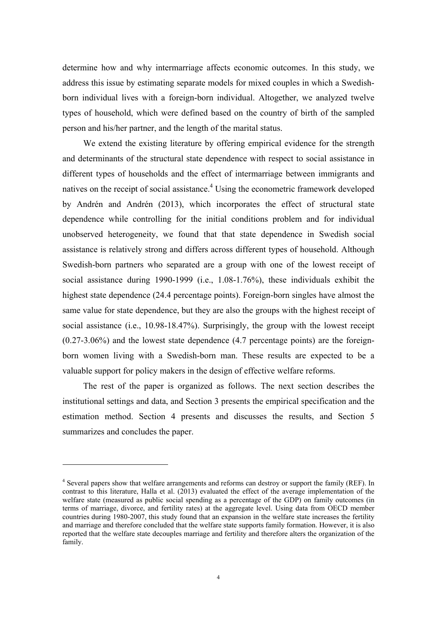determine how and why intermarriage affects economic outcomes. In this study, we address this issue by estimating separate models for mixed couples in which a Swedishborn individual lives with a foreign-born individual. Altogether, we analyzed twelve types of household, which were defined based on the country of birth of the sampled person and his/her partner, and the length of the marital status.

We extend the existing literature by offering empirical evidence for the strength and determinants of the structural state dependence with respect to social assistance in different types of households and the effect of intermarriage between immigrants and natives on the receipt of social assistance.<sup>4</sup> Using the econometric framework developed by Andrén and Andrén (2013), which incorporates the effect of structural state dependence while controlling for the initial conditions problem and for individual unobserved heterogeneity, we found that that state dependence in Swedish social assistance is relatively strong and differs across different types of household. Although Swedish-born partners who separated are a group with one of the lowest receipt of social assistance during 1990-1999 (i.e., 1.08-1.76%), these individuals exhibit the highest state dependence (24.4 percentage points). Foreign-born singles have almost the same value for state dependence, but they are also the groups with the highest receipt of social assistance (i.e., 10.98-18.47%). Surprisingly, the group with the lowest receipt (0.27-3.06%) and the lowest state dependence (4.7 percentage points) are the foreignborn women living with a Swedish-born man. These results are expected to be a valuable support for policy makers in the design of effective welfare reforms.

The rest of the paper is organized as follows. The next section describes the institutional settings and data, and Section 3 presents the empirical specification and the estimation method. Section 4 presents and discusses the results, and Section 5 summarizes and concludes the paper.

1

<sup>&</sup>lt;sup>4</sup> Several papers show that welfare arrangements and reforms can destroy or support the family (REF). In contrast to this literature, Halla et al. (2013) evaluated the effect of the average implementation of the welfare state (measured as public social spending as a percentage of the GDP) on family outcomes (in terms of marriage, divorce, and fertility rates) at the aggregate level. Using data from OECD member countries during 1980-2007, this study found that an expansion in the welfare state increases the fertility and marriage and therefore concluded that the welfare state supports family formation. However, it is also reported that the welfare state decouples marriage and fertility and therefore alters the organization of the family.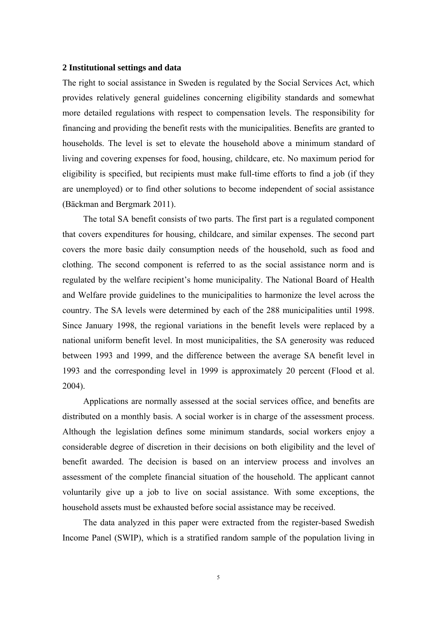#### **2 Institutional settings and data**

The right to social assistance in Sweden is regulated by the Social Services Act, which provides relatively general guidelines concerning eligibility standards and somewhat more detailed regulations with respect to compensation levels. The responsibility for financing and providing the benefit rests with the municipalities. Benefits are granted to households. The level is set to elevate the household above a minimum standard of living and covering expenses for food, housing, childcare, etc. No maximum period for eligibility is specified, but recipients must make full-time efforts to find a job (if they are unemployed) or to find other solutions to become independent of social assistance (Bäckman and Bergmark 2011).

The total SA benefit consists of two parts. The first part is a regulated component that covers expenditures for housing, childcare, and similar expenses. The second part covers the more basic daily consumption needs of the household, such as food and clothing. The second component is referred to as the social assistance norm and is regulated by the welfare recipient's home municipality. The National Board of Health and Welfare provide guidelines to the municipalities to harmonize the level across the country. The SA levels were determined by each of the 288 municipalities until 1998. Since January 1998, the regional variations in the benefit levels were replaced by a national uniform benefit level. In most municipalities, the SA generosity was reduced between 1993 and 1999, and the difference between the average SA benefit level in 1993 and the corresponding level in 1999 is approximately 20 percent (Flood et al. 2004).

Applications are normally assessed at the social services office, and benefits are distributed on a monthly basis. A social worker is in charge of the assessment process. Although the legislation defines some minimum standards, social workers enjoy a considerable degree of discretion in their decisions on both eligibility and the level of benefit awarded. The decision is based on an interview process and involves an assessment of the complete financial situation of the household. The applicant cannot voluntarily give up a job to live on social assistance. With some exceptions, the household assets must be exhausted before social assistance may be received.

The data analyzed in this paper were extracted from the register-based Swedish Income Panel (SWIP), which is a stratified random sample of the population living in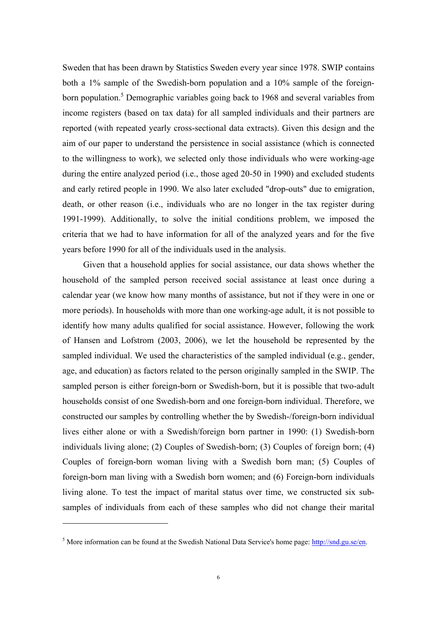Sweden that has been drawn by Statistics Sweden every year since 1978. SWIP contains both a 1% sample of the Swedish-born population and a 10% sample of the foreignborn population.<sup>5</sup> Demographic variables going back to 1968 and several variables from income registers (based on tax data) for all sampled individuals and their partners are reported (with repeated yearly cross-sectional data extracts). Given this design and the aim of our paper to understand the persistence in social assistance (which is connected to the willingness to work), we selected only those individuals who were working-age during the entire analyzed period (i.e., those aged 20-50 in 1990) and excluded students and early retired people in 1990. We also later excluded "drop-outs" due to emigration, death, or other reason (i.e., individuals who are no longer in the tax register during 1991-1999). Additionally, to solve the initial conditions problem, we imposed the criteria that we had to have information for all of the analyzed years and for the five years before 1990 for all of the individuals used in the analysis.

Given that a household applies for social assistance, our data shows whether the household of the sampled person received social assistance at least once during a calendar year (we know how many months of assistance, but not if they were in one or more periods). In households with more than one working-age adult, it is not possible to identify how many adults qualified for social assistance. However, following the work of Hansen and Lofstrom (2003, 2006), we let the household be represented by the sampled individual. We used the characteristics of the sampled individual (e.g., gender, age, and education) as factors related to the person originally sampled in the SWIP. The sampled person is either foreign-born or Swedish-born, but it is possible that two-adult households consist of one Swedish-born and one foreign-born individual. Therefore, we constructed our samples by controlling whether the by Swedish-/foreign-born individual lives either alone or with a Swedish/foreign born partner in 1990: (1) Swedish-born individuals living alone; (2) Couples of Swedish-born; (3) Couples of foreign born; (4) Couples of foreign-born woman living with a Swedish born man; (5) Couples of foreign-born man living with a Swedish born women; and (6) Foreign-born individuals living alone. To test the impact of marital status over time, we constructed six subsamples of individuals from each of these samples who did not change their marital

1

<sup>&</sup>lt;sup>5</sup> More information can be found at the Swedish National Data Service's home page:  $\frac{http://snd.gu.se/en.}$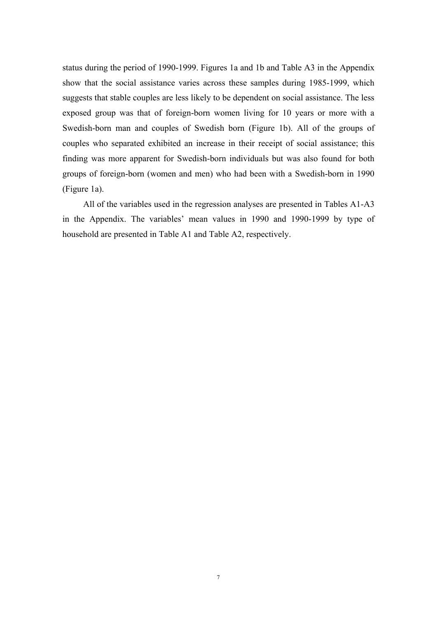status during the period of 1990-1999. Figures 1a and 1b and Table A3 in the Appendix show that the social assistance varies across these samples during 1985-1999, which suggests that stable couples are less likely to be dependent on social assistance. The less exposed group was that of foreign-born women living for 10 years or more with a Swedish-born man and couples of Swedish born (Figure 1b). All of the groups of couples who separated exhibited an increase in their receipt of social assistance; this finding was more apparent for Swedish-born individuals but was also found for both groups of foreign-born (women and men) who had been with a Swedish-born in 1990 (Figure 1a).

All of the variables used in the regression analyses are presented in Tables A1-A3 in the Appendix. The variables' mean values in 1990 and 1990-1999 by type of household are presented in Table A1 and Table A2, respectively.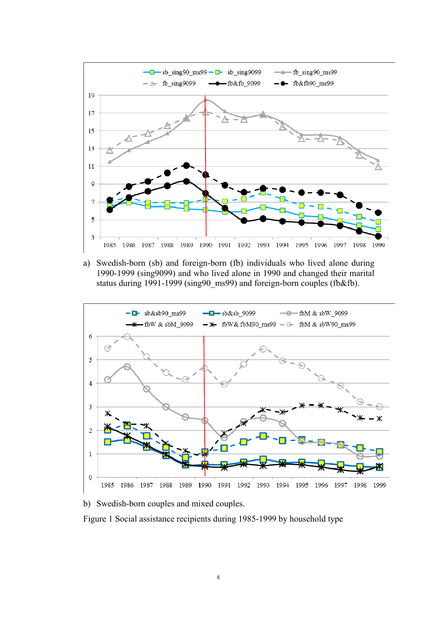

a) Swedish-born (sb) and foreign-born (fb) individuals who lived alone during 1990-1999 (sing9099) and who lived alone in 1990 and changed their marital status during 1991-1999 (sing90\_ms99) and foreign-born couples (fb&fb).



b) Swedish-born couples and mixed couples.

Figure 1 Social assistance recipients during 1985-1999 by household type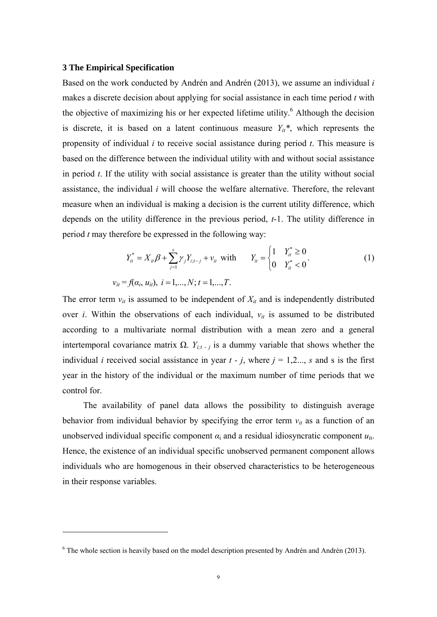#### **3 The Empirical Specification**

1

Based on the work conducted by Andrén and Andrén (2013), we assume an individual *i* makes a discrete decision about applying for social assistance in each time period *t* with the objective of maximizing his or her expected lifetime utility.<sup>6</sup> Although the decision is discrete, it is based on a latent continuous measure  $Y_{it}$ <sup>\*</sup>, which represents the propensity of individual *i* to receive social assistance during period *t*. This measure is based on the difference between the individual utility with and without social assistance in period *t*. If the utility with social assistance is greater than the utility without social assistance, the individual *i* will choose the welfare alternative. Therefore, the relevant measure when an individual is making a decision is the current utility difference, which depends on the utility difference in the previous period, *t*-1. The utility difference in period *t* may therefore be expressed in the following way:

$$
Y_{it}^{*} = X_{it} \beta + \sum_{j=1}^{s} \gamma_{j} Y_{i,t-j} + v_{it} \text{ with } Y_{it} = \begin{cases} 1 & Y_{it}^{*} \ge 0 \\ 0 & Y_{it}^{*} < 0 \end{cases}
$$
  
\n
$$
v_{it} = f(\alpha_{i}, u_{it}), \ i = 1,..., N; t = 1,..., T.
$$
 (1)

The error term  $v_{it}$  is assumed to be independent of  $X_{it}$  and is independently distributed over *i*. Within the observations of each individual, *νit* is assumed to be distributed according to a multivariate normal distribution with a mean zero and a general intertemporal covariance matrix Ω.  $Y_{i;t}$ , *i* is a dummy variable that shows whether the individual *i* received social assistance in year  $t - j$ , where  $j = 1,2...$ , *s* and *s* is the first year in the history of the individual or the maximum number of time periods that we control for.

 The availability of panel data allows the possibility to distinguish average behavior from individual behavior by specifying the error term  $v_{it}$  as a function of an unobserved individual specific component  $\alpha_i$  and a residual idiosyncratic component  $u_{it}$ . Hence, the existence of an individual specific unobserved permanent component allows individuals who are homogenous in their observed characteristics to be heterogeneous in their response variables.

 $6$  The whole section is heavily based on the model description presented by Andrén and Andrén (2013).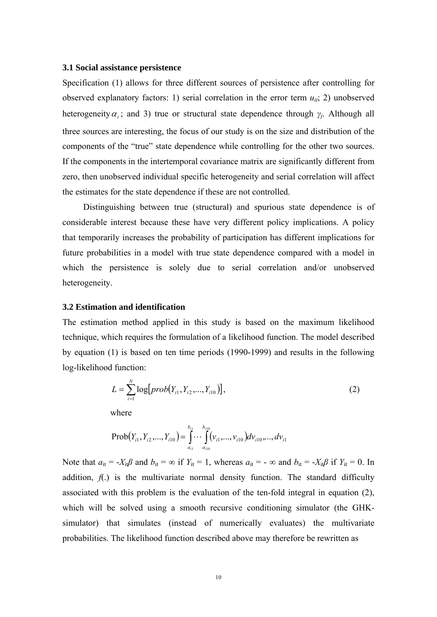#### **3.1 Social assistance persistence**

Specification (1) allows for three different sources of persistence after controlling for observed explanatory factors: 1) serial correlation in the error term  $u_{ii}$ ; 2) unobserved heterogeneity  $\alpha_i$ ; and 3) true or structural state dependence through  $\gamma_i$ . Although all three sources are interesting, the focus of our study is on the size and distribution of the components of the "true" state dependence while controlling for the other two sources. If the components in the intertemporal covariance matrix are significantly different from zero, then unobserved individual specific heterogeneity and serial correlation will affect the estimates for the state dependence if these are not controlled.

Distinguishing between true (structural) and spurious state dependence is of considerable interest because these have very different policy implications. A policy that temporarily increases the probability of participation has different implications for future probabilities in a model with true state dependence compared with a model in which the persistence is solely due to serial correlation and/or unobserved heterogeneity.

#### **3.2 Estimation and identification**

The estimation method applied in this study is based on the maximum likelihood technique, which requires the formulation of a likelihood function. The model described by equation (1) is based on ten time periods (1990-1999) and results in the following log-likelihood function:

$$
L = \sum_{i=1}^{N} \log[prob(Y_{i1}, Y_{i2}, ..., Y_{i10})],
$$
\nwhere (2)

*i*

 $(Y_{i1}, Y_{i2},..., Y_{i10}) = \int \cdots \int \left(V_{i1},..., V_{i10}\right)$ 10  $Prob(Y_{i_1}, Y_{i_2},..., Y_{i10}) = \int_0^{b_{i_1}} \cdots \int_0^{b_{i10}} (v_{i_1},..., v_{i10}) dv_{i10},...,dv_{i10}$ *i b b Yi Yi Yi vi vi dvi dv*

1

*i*

*a*

10

*i*

*a*

Note that  $a_{it} = -X_{it}\beta$  and  $b_{it} = \infty$  if  $Y_{it} = 1$ , whereas  $a_{it} = -\infty$  and  $b_{it} = -X_{it}\beta$  if  $Y_{it} = 0$ . In addition,  $f(.)$  is the multivariate normal density function. The standard difficulty associated with this problem is the evaluation of the ten-fold integral in equation (2), which will be solved using a smooth recursive conditioning simulator (the GHKsimulator) that simulates (instead of numerically evaluates) the multivariate probabilities. The likelihood function described above may therefore be rewritten as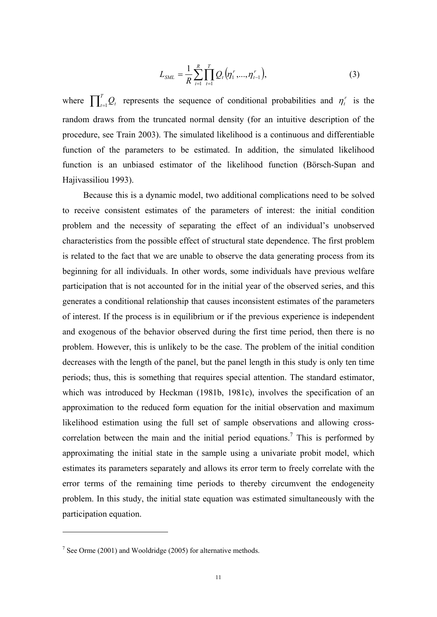$$
L_{SML} = \frac{1}{R} \sum_{i=1}^{R} \prod_{t=1}^{T} Q_t(\eta_1^r, ..., \eta_{t-1}^r),
$$
 (3)

where  $\prod_{t=1}^{T} Q_t$  represents the sequence of conditional probabilities and  $\eta_t^r$  is the random draws from the truncated normal density (for an intuitive description of the procedure, see Train 2003). The simulated likelihood is a continuous and differentiable function of the parameters to be estimated. In addition, the simulated likelihood function is an unbiased estimator of the likelihood function (Börsch-Supan and Hajivassiliou 1993).

Because this is a dynamic model, two additional complications need to be solved to receive consistent estimates of the parameters of interest: the initial condition problem and the necessity of separating the effect of an individual's unobserved characteristics from the possible effect of structural state dependence. The first problem is related to the fact that we are unable to observe the data generating process from its beginning for all individuals. In other words, some individuals have previous welfare participation that is not accounted for in the initial year of the observed series, and this generates a conditional relationship that causes inconsistent estimates of the parameters of interest. If the process is in equilibrium or if the previous experience is independent and exogenous of the behavior observed during the first time period, then there is no problem. However, this is unlikely to be the case. The problem of the initial condition decreases with the length of the panel, but the panel length in this study is only ten time periods; thus, this is something that requires special attention. The standard estimator, which was introduced by Heckman (1981b, 1981c), involves the specification of an approximation to the reduced form equation for the initial observation and maximum likelihood estimation using the full set of sample observations and allowing crosscorrelation between the main and the initial period equations.<sup>7</sup> This is performed by approximating the initial state in the sample using a univariate probit model, which estimates its parameters separately and allows its error term to freely correlate with the error terms of the remaining time periods to thereby circumvent the endogeneity problem. In this study, the initial state equation was estimated simultaneously with the participation equation.

1

 $7$  See Orme (2001) and Wooldridge (2005) for alternative methods.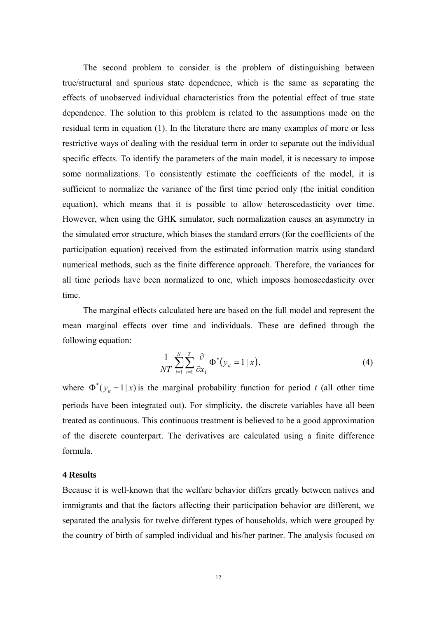The second problem to consider is the problem of distinguishing between true/structural and spurious state dependence, which is the same as separating the effects of unobserved individual characteristics from the potential effect of true state dependence. The solution to this problem is related to the assumptions made on the residual term in equation (1). In the literature there are many examples of more or less restrictive ways of dealing with the residual term in order to separate out the individual specific effects. To identify the parameters of the main model, it is necessary to impose some normalizations. To consistently estimate the coefficients of the model, it is sufficient to normalize the variance of the first time period only (the initial condition equation), which means that it is possible to allow heteroscedasticity over time. However, when using the GHK simulator, such normalization causes an asymmetry in the simulated error structure, which biases the standard errors (for the coefficients of the participation equation) received from the estimated information matrix using standard numerical methods, such as the finite difference approach. Therefore, the variances for all time periods have been normalized to one, which imposes homoscedasticity over time.

The marginal effects calculated here are based on the full model and represent the mean marginal effects over time and individuals. These are defined through the following equation:

$$
\frac{1}{NT} \sum_{i=1}^{N} \sum_{t=1}^{T} \frac{\partial}{\partial x_1} \Phi^*(y_{it} = 1 \mid x), \tag{4}
$$

where  $\Phi^*(y) = 1|x|$  is the marginal probability function for period *t* (all other time periods have been integrated out). For simplicity, the discrete variables have all been treated as continuous. This continuous treatment is believed to be a good approximation of the discrete counterpart. The derivatives are calculated using a finite difference formula.

#### **4 Results**

Because it is well-known that the welfare behavior differs greatly between natives and immigrants and that the factors affecting their participation behavior are different, we separated the analysis for twelve different types of households, which were grouped by the country of birth of sampled individual and his/her partner. The analysis focused on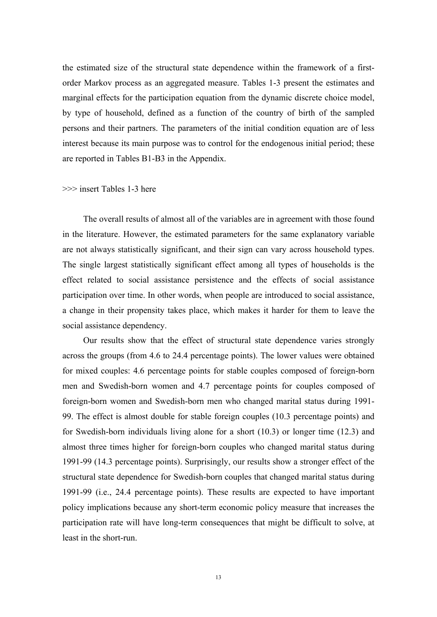the estimated size of the structural state dependence within the framework of a firstorder Markov process as an aggregated measure. Tables 1-3 present the estimates and marginal effects for the participation equation from the dynamic discrete choice model, by type of household, defined as a function of the country of birth of the sampled persons and their partners. The parameters of the initial condition equation are of less interest because its main purpose was to control for the endogenous initial period; these are reported in Tables B1-B3 in the Appendix.

#### >>> insert Tables 1-3 here

The overall results of almost all of the variables are in agreement with those found in the literature. However, the estimated parameters for the same explanatory variable are not always statistically significant, and their sign can vary across household types. The single largest statistically significant effect among all types of households is the effect related to social assistance persistence and the effects of social assistance participation over time. In other words, when people are introduced to social assistance, a change in their propensity takes place, which makes it harder for them to leave the social assistance dependency.

Our results show that the effect of structural state dependence varies strongly across the groups (from 4.6 to 24.4 percentage points). The lower values were obtained for mixed couples: 4.6 percentage points for stable couples composed of foreign-born men and Swedish-born women and 4.7 percentage points for couples composed of foreign-born women and Swedish-born men who changed marital status during 1991- 99. The effect is almost double for stable foreign couples (10.3 percentage points) and for Swedish-born individuals living alone for a short (10.3) or longer time (12.3) and almost three times higher for foreign-born couples who changed marital status during 1991-99 (14.3 percentage points). Surprisingly, our results show a stronger effect of the structural state dependence for Swedish-born couples that changed marital status during 1991-99 (i.e., 24.4 percentage points). These results are expected to have important policy implications because any short-term economic policy measure that increases the participation rate will have long-term consequences that might be difficult to solve, at least in the short-run.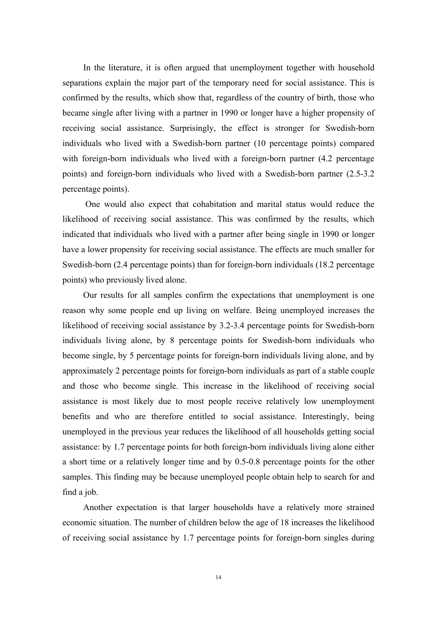In the literature, it is often argued that unemployment together with household separations explain the major part of the temporary need for social assistance. This is confirmed by the results, which show that, regardless of the country of birth, those who became single after living with a partner in 1990 or longer have a higher propensity of receiving social assistance. Surprisingly, the effect is stronger for Swedish-born individuals who lived with a Swedish-born partner (10 percentage points) compared with foreign-born individuals who lived with a foreign-born partner (4.2 percentage) points) and foreign-born individuals who lived with a Swedish-born partner (2.5-3.2 percentage points).

 One would also expect that cohabitation and marital status would reduce the likelihood of receiving social assistance. This was confirmed by the results, which indicated that individuals who lived with a partner after being single in 1990 or longer have a lower propensity for receiving social assistance. The effects are much smaller for Swedish-born (2.4 percentage points) than for foreign-born individuals (18.2 percentage points) who previously lived alone.

Our results for all samples confirm the expectations that unemployment is one reason why some people end up living on welfare. Being unemployed increases the likelihood of receiving social assistance by 3.2-3.4 percentage points for Swedish-born individuals living alone, by 8 percentage points for Swedish-born individuals who become single, by 5 percentage points for foreign-born individuals living alone, and by approximately 2 percentage points for foreign-born individuals as part of a stable couple and those who become single. This increase in the likelihood of receiving social assistance is most likely due to most people receive relatively low unemployment benefits and who are therefore entitled to social assistance. Interestingly, being unemployed in the previous year reduces the likelihood of all households getting social assistance: by 1.7 percentage points for both foreign-born individuals living alone either a short time or a relatively longer time and by 0.5-0.8 percentage points for the other samples. This finding may be because unemployed people obtain help to search for and find a job.

Another expectation is that larger households have a relatively more strained economic situation. The number of children below the age of 18 increases the likelihood of receiving social assistance by 1.7 percentage points for foreign-born singles during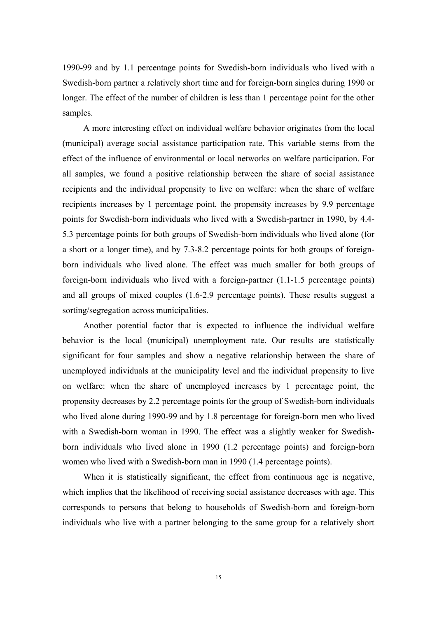1990-99 and by 1.1 percentage points for Swedish-born individuals who lived with a Swedish-born partner a relatively short time and for foreign-born singles during 1990 or longer. The effect of the number of children is less than 1 percentage point for the other samples.

A more interesting effect on individual welfare behavior originates from the local (municipal) average social assistance participation rate. This variable stems from the effect of the influence of environmental or local networks on welfare participation. For all samples, we found a positive relationship between the share of social assistance recipients and the individual propensity to live on welfare: when the share of welfare recipients increases by 1 percentage point, the propensity increases by 9.9 percentage points for Swedish-born individuals who lived with a Swedish-partner in 1990, by 4.4- 5.3 percentage points for both groups of Swedish-born individuals who lived alone (for a short or a longer time), and by 7.3-8.2 percentage points for both groups of foreignborn individuals who lived alone. The effect was much smaller for both groups of foreign-born individuals who lived with a foreign-partner (1.1-1.5 percentage points) and all groups of mixed couples (1.6-2.9 percentage points). These results suggest a sorting/segregation across municipalities.

Another potential factor that is expected to influence the individual welfare behavior is the local (municipal) unemployment rate. Our results are statistically significant for four samples and show a negative relationship between the share of unemployed individuals at the municipality level and the individual propensity to live on welfare: when the share of unemployed increases by 1 percentage point, the propensity decreases by 2.2 percentage points for the group of Swedish-born individuals who lived alone during 1990-99 and by 1.8 percentage for foreign-born men who lived with a Swedish-born woman in 1990. The effect was a slightly weaker for Swedishborn individuals who lived alone in 1990 (1.2 percentage points) and foreign-born women who lived with a Swedish-born man in 1990 (1.4 percentage points).

When it is statistically significant, the effect from continuous age is negative, which implies that the likelihood of receiving social assistance decreases with age. This corresponds to persons that belong to households of Swedish-born and foreign-born individuals who live with a partner belonging to the same group for a relatively short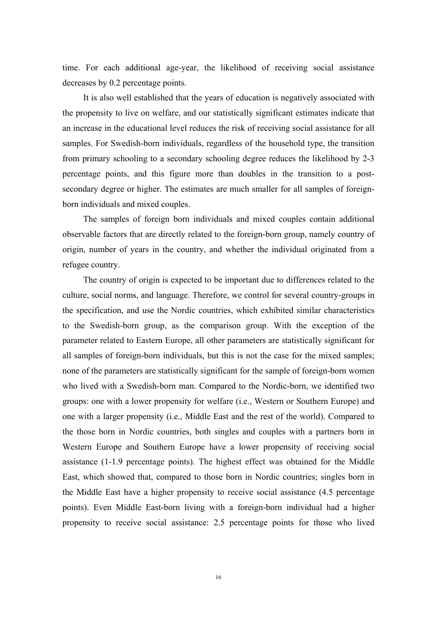time. For each additional age-year, the likelihood of receiving social assistance decreases by 0.2 percentage points.

It is also well established that the years of education is negatively associated with the propensity to live on welfare, and our statistically significant estimates indicate that an increase in the educational level reduces the risk of receiving social assistance for all samples. For Swedish-born individuals, regardless of the household type, the transition from primary schooling to a secondary schooling degree reduces the likelihood by 2-3 percentage points, and this figure more than doubles in the transition to a postsecondary degree or higher. The estimates are much smaller for all samples of foreignborn individuals and mixed couples.

The samples of foreign born individuals and mixed couples contain additional observable factors that are directly related to the foreign-born group, namely country of origin, number of years in the country, and whether the individual originated from a refugee country.

The country of origin is expected to be important due to differences related to the culture, social norms, and language. Therefore, we control for several country-groups in the specification, and use the Nordic countries, which exhibited similar characteristics to the Swedish-born group, as the comparison group. With the exception of the parameter related to Eastern Europe, all other parameters are statistically significant for all samples of foreign-born individuals, but this is not the case for the mixed samples; none of the parameters are statistically significant for the sample of foreign-born women who lived with a Swedish-born man. Compared to the Nordic-born, we identified two groups: one with a lower propensity for welfare (i.e., Western or Southern Europe) and one with a larger propensity (i.e., Middle East and the rest of the world). Compared to the those born in Nordic countries, both singles and couples with a partners born in Western Europe and Southern Europe have a lower propensity of receiving social assistance (1-1.9 percentage points). The highest effect was obtained for the Middle East, which showed that, compared to those born in Nordic countries; singles born in the Middle East have a higher propensity to receive social assistance (4.5 percentage points). Even Middle East-born living with a foreign-born individual had a higher propensity to receive social assistance: 2.5 percentage points for those who lived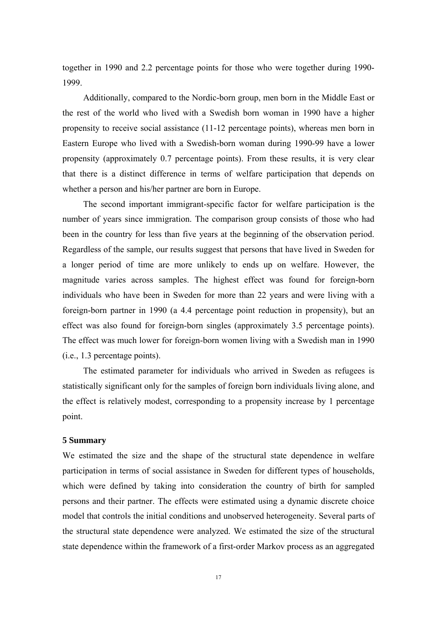together in 1990 and 2.2 percentage points for those who were together during 1990- 1999.

Additionally, compared to the Nordic-born group, men born in the Middle East or the rest of the world who lived with a Swedish born woman in 1990 have a higher propensity to receive social assistance (11-12 percentage points), whereas men born in Eastern Europe who lived with a Swedish-born woman during 1990-99 have a lower propensity (approximately 0.7 percentage points). From these results, it is very clear that there is a distinct difference in terms of welfare participation that depends on whether a person and his/her partner are born in Europe.

The second important immigrant-specific factor for welfare participation is the number of years since immigration. The comparison group consists of those who had been in the country for less than five years at the beginning of the observation period. Regardless of the sample, our results suggest that persons that have lived in Sweden for a longer period of time are more unlikely to ends up on welfare. However, the magnitude varies across samples. The highest effect was found for foreign-born individuals who have been in Sweden for more than 22 years and were living with a foreign-born partner in 1990 (a 4.4 percentage point reduction in propensity), but an effect was also found for foreign-born singles (approximately 3.5 percentage points). The effect was much lower for foreign-born women living with a Swedish man in 1990 (i.e., 1.3 percentage points).

The estimated parameter for individuals who arrived in Sweden as refugees is statistically significant only for the samples of foreign born individuals living alone, and the effect is relatively modest, corresponding to a propensity increase by 1 percentage point.

#### **5 Summary**

We estimated the size and the shape of the structural state dependence in welfare participation in terms of social assistance in Sweden for different types of households, which were defined by taking into consideration the country of birth for sampled persons and their partner. The effects were estimated using a dynamic discrete choice model that controls the initial conditions and unobserved heterogeneity. Several parts of the structural state dependence were analyzed. We estimated the size of the structural state dependence within the framework of a first-order Markov process as an aggregated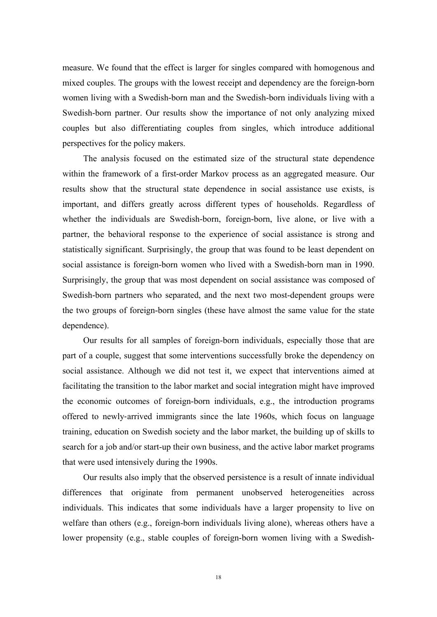measure. We found that the effect is larger for singles compared with homogenous and mixed couples. The groups with the lowest receipt and dependency are the foreign-born women living with a Swedish-born man and the Swedish-born individuals living with a Swedish-born partner. Our results show the importance of not only analyzing mixed couples but also differentiating couples from singles, which introduce additional perspectives for the policy makers.

The analysis focused on the estimated size of the structural state dependence within the framework of a first-order Markov process as an aggregated measure. Our results show that the structural state dependence in social assistance use exists, is important, and differs greatly across different types of households. Regardless of whether the individuals are Swedish-born, foreign-born, live alone, or live with a partner, the behavioral response to the experience of social assistance is strong and statistically significant. Surprisingly, the group that was found to be least dependent on social assistance is foreign-born women who lived with a Swedish-born man in 1990. Surprisingly, the group that was most dependent on social assistance was composed of Swedish-born partners who separated, and the next two most-dependent groups were the two groups of foreign-born singles (these have almost the same value for the state dependence).

Our results for all samples of foreign-born individuals, especially those that are part of a couple, suggest that some interventions successfully broke the dependency on social assistance. Although we did not test it, we expect that interventions aimed at facilitating the transition to the labor market and social integration might have improved the economic outcomes of foreign-born individuals, e.g., the introduction programs offered to newly‐arrived immigrants since the late 1960s, which focus on language training, education on Swedish society and the labor market, the building up of skills to search for a job and/or start-up their own business, and the active labor market programs that were used intensively during the 1990s.

Our results also imply that the observed persistence is a result of innate individual differences that originate from permanent unobserved heterogeneities across individuals. This indicates that some individuals have a larger propensity to live on welfare than others (e.g., foreign-born individuals living alone), whereas others have a lower propensity (e.g., stable couples of foreign-born women living with a Swedish-

18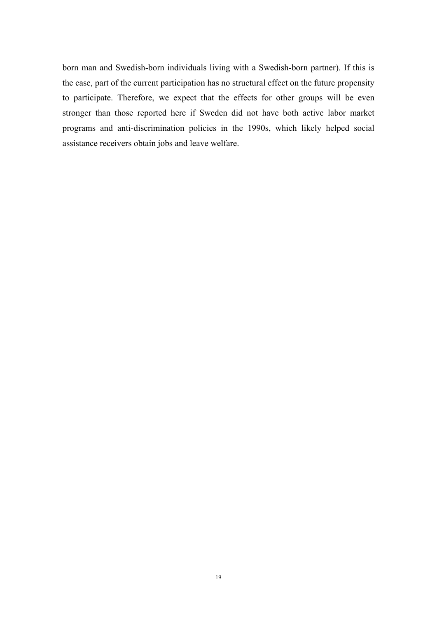born man and Swedish-born individuals living with a Swedish-born partner). If this is the case, part of the current participation has no structural effect on the future propensity to participate. Therefore, we expect that the effects for other groups will be even stronger than those reported here if Sweden did not have both active labor market programs and anti-discrimination policies in the 1990s, which likely helped social assistance receivers obtain jobs and leave welfare.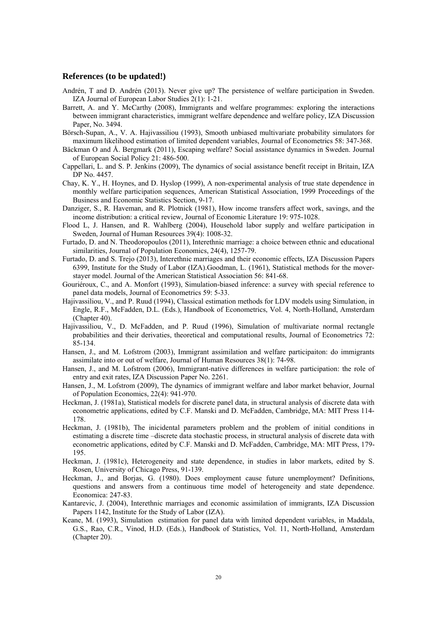#### **References (to be updated!)**

- Andrén, T and D. Andrén (2013). Never give up? The persistence of welfare participation in Sweden. IZA Journal of European Labor Studies 2(1): 1-21.
- Barrett, A. and Y. McCarthy (2008), Immigrants and welfare programmes: exploring the interactions between immigrant characteristics, immigrant welfare dependence and welfare policy, IZA Discussion Paper, No. 3494.
- Börsch-Supan, A., V. A. Hajivassiliou (1993), Smooth unbiased multivariate probability simulators for maximum likelihood estimation of limited dependent variables, Journal of Econometrics 58: 347-368.
- Bäckman O and Å. Bergmark (2011), Escaping welfare? Social assistance dynamics in Sweden. Journal of European Social Policy 21: 486-500.
- Cappellari, L. and S. P. Jenkins (2009), The dynamics of social assistance benefit receipt in Britain, IZA DP No. 4457.
- Chay, K. Y., H. Hoynes, and D. Hyslop (1999), A non-experimental analysis of true state dependence in monthly welfare participation sequences, American Statistical Association, 1999 Proceedings of the Business and Economic Statistics Section, 9-17.
- Danziger, S., R. Haveman, and R. Plotnick (1981), How income transfers affect work, savings, and the income distribution: a critical review, Journal of Economic Literature 19: 975-1028.
- Flood L, J. Hansen, and R. Wahlberg (2004), Household labor supply and welfare participation in Sweden, Journal of Human Resources 39(4): 1008-32.
- Furtado, D. and N. Theodoropoulos (2011), Interethnic marriage: a choice between ethnic and educational similarities, Journal of Population Economics, 24(4), 1257-79.
- Furtado, D. and S. Trejo (2013), Interethnic marriages and their economic effects, IZA Discussion Papers 6399, Institute for the Study of Labor (IZA).Goodman, L. (1961), Statistical methods for the moverstayer model. Journal of the American Statistical Association 56: 841-68.
- Gouriéroux, C., and A. Monfort (1993), Simulation-biased inference: a survey with special reference to panel data models, Journal of Econometrics 59: 5-33.
- Hajivassiliou, V., and P. Ruud (1994), Classical estimation methods for LDV models using Simulation, in Engle, R.F., McFadden, D.L. (Eds.), Handbook of Econometrics, Vol. 4, North-Holland, Amsterdam (Chapter 40).
- Hajivassiliou, V., D. McFadden, and P. Ruud (1996), Simulation of multivariate normal rectangle probabilities and their derivaties, theoretical and computational results, Journal of Econometrics 72: 85-134.
- Hansen, J., and M. Lofstrom (2003), Immigrant assimilation and welfare participaiton: do immigrants assimilate into or out of welfare, Journal of Human Resources 38(1): 74-98.
- Hansen, J., and M. Lofstrom (2006), Immigrant-native differences in welfare participation: the role of entry and exit rates, IZA Discussion Paper No. 2261.
- Hansen, J., M. Lofstrom (2009), The dynamics of immigrant welfare and labor market behavior, Journal of Population Economics, 22(4): 941-970.
- Heckman, J. (1981a), Statistical models for discrete panel data, in structural analysis of discrete data with econometric applications, edited by C.F. Manski and D. McFadden, Cambridge, MA: MIT Press 114- 178.
- Heckman, J. (1981b), The inicidental parameters problem and the problem of initial conditions in estimating a discrete time –discrete data stochastic process, in structural analysis of discrete data with econometric applications, edited by C.F. Manski and D. McFadden, Cambridge, MA: MIT Press, 179- 195.
- Heckman, J. (1981c), Heterogeneity and state dependence, in studies in labor markets, edited by S. Rosen, University of Chicago Press, 91-139.
- Heckman, J., and Borjas, G. (1980). Does employment cause future unemployment? Definitions, questions and answers from a continuous time model of heterogeneity and state dependence. Economica: 247-83.
- Kantarevic, J. (2004), Interethnic marriages and economic assimilation of immigrants, IZA Discussion Papers 1142, Institute for the Study of Labor (IZA).
- Keane, M. (1993), Simulation estimation for panel data with limited dependent variables, in Maddala, G.S., Rao, C.R., Vinod, H.D. (Eds.), Handbook of Statistics, Vol. 11, North-Holland, Amsterdam (Chapter 20).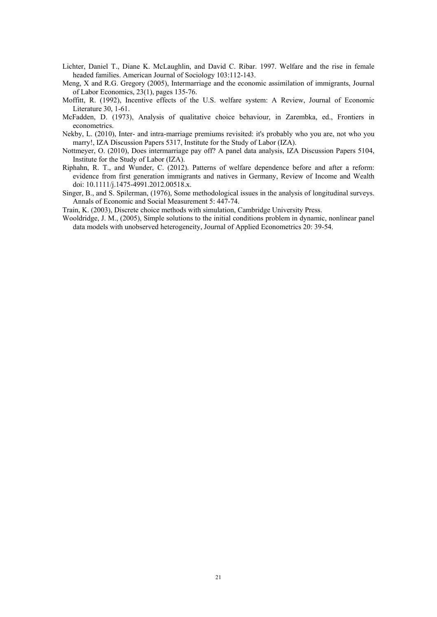- Lichter, Daniel T., Diane K. McLaughlin, and David C. Ribar. 1997. Welfare and the rise in female headed families. American Journal of Sociology 103:112-143.
- Meng, X and R.G. Gregory (2005), Intermarriage and the economic assimilation of immigrants, Journal of Labor Economics, 23(1), pages 135-76.
- Moffitt, R. (1992), Incentive effects of the U.S. welfare system: A Review, Journal of Economic Literature 30, 1-61.
- McFadden, D. (1973), Analysis of qualitative choice behaviour, in Zarembka, ed., Frontiers in econometrics.
- Nekby, L. (2010), Inter- and intra-marriage premiums revisited: it's probably who you are, not who you marry!, IZA Discussion Papers 5317, Institute for the Study of Labor (IZA).
- Nottmeyer, O. (2010), Does intermarriage pay off? A panel data analysis, IZA Discussion Papers 5104, Institute for the Study of Labor (IZA).
- Riphahn, R. T., and Wunder, C. (2012). Patterns of welfare dependence before and after a reform: evidence from first generation immigrants and natives in Germany, Review of Income and Wealth doi: 10.1111/j.1475-4991.2012.00518.x.
- Singer, B., and S. Spilerman, (1976), Some methodological issues in the analysis of longitudinal surveys. Annals of Economic and Social Measurement 5: 447-74.

Train, K. (2003), Discrete choice methods with simulation, Cambridge University Press.

Wooldridge, J. M., (2005), Simple solutions to the initial conditions problem in dynamic, nonlinear panel data models with unobserved heterogeneity, Journal of Applied Econometrics 20: 39-54.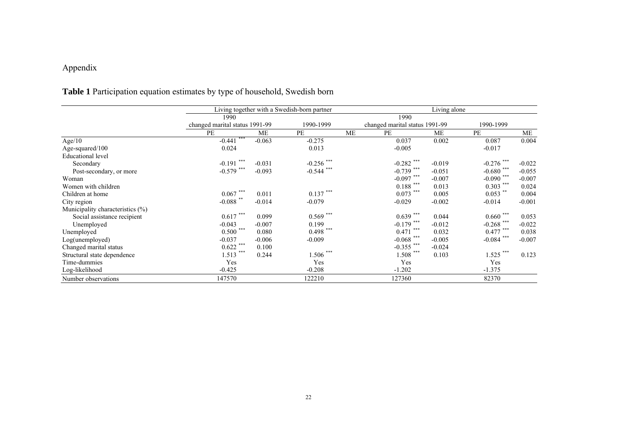### Appendix

# **Table 1** Participation equation estimates by type of household, Swedish born

|                                  |                                |          | Living together with a Swedish-born partner |    | $\overline{\text{Living}}$ alone |           |              |          |  |  |
|----------------------------------|--------------------------------|----------|---------------------------------------------|----|----------------------------------|-----------|--------------|----------|--|--|
|                                  | 1990                           |          |                                             |    |                                  |           |              |          |  |  |
|                                  | changed marital status 1991-99 |          | 1990-1999                                   |    | changed marital status 1991-99   | 1990-1999 |              |          |  |  |
|                                  | PE                             | ME       | PE                                          | ME | PE                               | ME        | <b>PE</b>    | ME       |  |  |
| Age/10                           | ***<br>$-0.441$                | $-0.063$ | $-0.275$                                    |    | 0.037                            | 0.002     | 0.087        | 0.004    |  |  |
| Age-squared/100                  | 0.024                          |          | 0.013                                       |    | $-0.005$                         |           | $-0.017$     |          |  |  |
| <b>Educational</b> level         |                                |          |                                             |    |                                  |           |              |          |  |  |
| Secondary                        | ***<br>$-0.191$ <sup>**</sup>  | $-0.031$ | $-0.256$ ***                                |    | $-0.282$ ***                     | $-0.019$  | $-0.276$ *** | $-0.022$ |  |  |
| Post-secondary, or more          | $-0.579$ ***                   | $-0.093$ | $-0.544$ ***                                |    | $-0.739$ ***                     | $-0.051$  | $-0.680$ *** | $-0.055$ |  |  |
| Woman                            |                                |          |                                             |    | $-0.097$ ***                     | $-0.007$  | $-0.090$ *** | $-0.007$ |  |  |
| Women with children              |                                |          |                                             |    | $0.188$ ***                      | 0.013     | $0.303$ ***  | 0.024    |  |  |
| Children at home                 | ***<br>0.067                   | 0.011    | $0.137$ ***                                 |    | $0.073$ ***                      | 0.005     | $0.053$ **   | 0.004    |  |  |
| City region                      | $-0.088$ **                    | $-0.014$ | $-0.079$                                    |    | $-0.029$                         | $-0.002$  | $-0.014$     | $-0.001$ |  |  |
| Municipality characteristics (%) |                                |          |                                             |    |                                  |           |              |          |  |  |
| Social assistance recipient      | ***<br>0.617                   | 0.099    | $0.569$ ***                                 |    | $0.639$ ***                      | 0.044     | 0.660        | 0.053    |  |  |
| Unemployed                       | $-0.043$                       | $-0.007$ | 0.199                                       |    | $-0.179$ ***                     | $-0.012$  | $-0.268$ *** | $-0.022$ |  |  |
| Unemployed                       | ***<br>0.500                   | 0.080    | $0.498$ ***                                 |    | ***<br>0.471                     | 0.032     | $0.477$ ***  | 0.038    |  |  |
| Log(unemployed)                  | $-0.037$                       | $-0.006$ | $-0.009$                                    |    | $-0.068$ ***                     | $-0.005$  | $-0.084$ *** | $-0.007$ |  |  |
| Changed marital status           | $0.622$ ***                    | 0.100    |                                             |    | $-0.355$ ***                     | $-0.024$  |              |          |  |  |
| Structural state dependence      | ***<br>1.513                   | 0.244    | ***<br>1.506                                |    | $1.508$ ***                      | 0.103     | $1.525$ ***  | 0.123    |  |  |
| Time-dummies                     | Yes                            |          | Yes                                         |    | Yes                              |           | Yes          |          |  |  |
| Log-likelihood                   | $-0.425$                       |          | $-0.208$                                    |    | $-1.202$                         |           | $-1.375$     |          |  |  |
| Number observations              | 147570                         |          | 122210                                      |    | 127360                           |           | 82370        |          |  |  |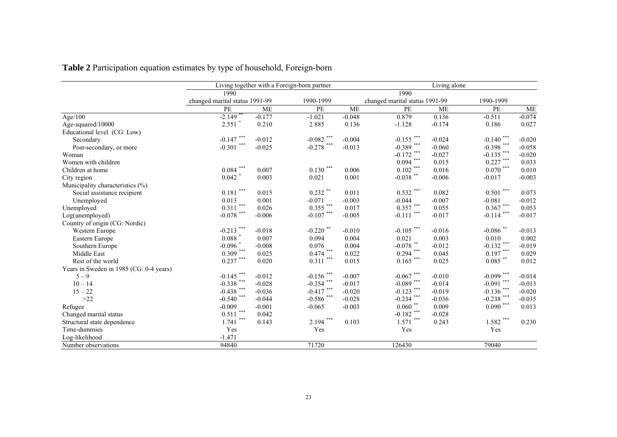**Table 2** Participation equation estimates by type of household, Foreign-born

|                                         |                                |          | Living together with a Foreign-born partner | Living alone |                                |           |                       |           |  |
|-----------------------------------------|--------------------------------|----------|---------------------------------------------|--------------|--------------------------------|-----------|-----------------------|-----------|--|
|                                         | 1990                           |          |                                             | 1990         |                                |           |                       |           |  |
|                                         | changed marital status 1991-99 |          | 1990-1999                                   |              | changed marital status 1991-99 |           | 1990-1999             |           |  |
|                                         | PE                             | ME       | PE                                          | <b>ME</b>    | PE                             | <b>ME</b> | PE                    | <b>ME</b> |  |
| Age/100                                 | $-2.149$ <sup>*</sup>          | $-0.177$ | $-1.021$                                    | $-0.048$     | 0.879                          | 0.136     | $-0.511$              | $-0.074$  |  |
| Age-squared/10000                       | $2.551$ *                      | 0.210    | 2.885                                       | 0.136        | $-1.128$                       | $-0.174$  | 0.186                 | 0.027     |  |
| Educational level (CG: Low)             |                                |          |                                             |              |                                |           |                       |           |  |
| Secondary                               | $-0.147$ ***                   | $-0.012$ | $-0.082$ ***                                | $-0.004$     | $-0.155$ ***                   | $-0.024$  | $-0.140$ ***          | $-0.020$  |  |
| Post-secondary, or more                 | ***<br>$-0.301$                | $-0.025$ | $-0.278$ ***                                | $-0.013$     | $-0.389$ ***                   | $-0.060$  | $-0.398$ ***          | $-0.058$  |  |
| Woman                                   |                                |          |                                             |              | $-0.172$ ***                   | $-0.027$  | $-0.135$ ***          | $-0.020$  |  |
| Women with children                     |                                |          |                                             |              | $0.094$ ***                    | 0.015     | $0.227$ ***           | 0.033     |  |
| Children at home                        | $0.084$ ***                    | 0.007    | $0.130$ ***                                 | 0.006        | $0.102$ ***                    | 0.016     | $0.070$ ***           | 0.010     |  |
| City region                             | $0.042$ *                      | 0.003    | 0.021                                       | 0.001        | $-0.038$ **                    | $-0.006$  | $-0.017$              | $-0.003$  |  |
| Municipality characteristics (%)        |                                |          |                                             |              |                                |           |                       |           |  |
| Social assistance recipient             | $0.181\; ^{***}$               | 0.015    | $0.232$ **                                  | 0.011        | $0.532$ ***                    | 0.082     | $0.501$ ***           | 0.073     |  |
| Unemployed                              | 0.013                          | 0.001    | $-0.071$                                    | $-0.003$     | $-0.044$                       | $-0.007$  | $-0.081$              | $-0.012$  |  |
| Unemployed                              | ***<br>0.311                   | 0.026    | $0.355$ ***                                 | 0.017        | $0.357$ ***                    | 0.055     | $0.367$ ***           | 0.053     |  |
| Log(unemployed)                         | $-0.078$ ***                   | $-0.006$ | $-0.107$ ***                                | $-0.005$     | $-0.111$ ***                   | $-0.017$  | $-0.114$ ***          | $-0.017$  |  |
| Country of origin (CG: Nordic)          |                                |          |                                             |              |                                |           |                       |           |  |
| Western Europe                          | $-0.213$ ***                   | $-0.018$ | $-0.220$ **                                 | $-0.010$     | $-0.105$ ***                   | $-0.016$  | $-0.086$ **           | $-0.013$  |  |
| Eastern Europe                          | $0.088$ $^{\ast}$              | 0.007    | 0.094                                       | 0.004        | 0.021                          | 0.003     | 0.010                 | 0.002     |  |
| Southern Europe                         | $-0.096$ *                     | $-0.008$ | 0.076                                       | 0.004        | $-0.078$ **                    | $-0.012$  | $-0.132$ ***          | $-0.019$  |  |
| Middle East                             | $0.309$ ***                    | 0.025    | $0.474$ ***                                 | 0.022        | $0.294$ ***                    | 0.045     | $0.197$ ***           | 0.029     |  |
| Rest of the world                       | $0.237$ ***                    | 0.020    | $0.311\; ^{***}$                            | 0.015        | $0.165$ ***                    | 0.025     | $0.085$ $^{\ast\ast}$ | 0.012     |  |
| Years in Sweden in 1985 (CG: 0-4 years) |                                |          |                                             |              |                                |           |                       |           |  |
| $5 - 9$                                 | $-0.145$ ***                   | $-0.012$ | $-0.156$ ***                                | $-0.007$     | -0.067 $^{***}$                | $-0.010$  | $-0.099$ ***          | $-0.014$  |  |
| $10 - 14$                               | $-0.338$ ***                   | $-0.028$ | $-0.354$ ***                                | $-0.017$     | $-0.089$ ***                   | $-0.014$  | $-0.091$ ***          | $-0.013$  |  |
| $15 - 22$                               | $-0.438$ ***                   | $-0.036$ | $-0.417$ ***                                | $-0.020$     | $-0.123$ ***                   | $-0.019$  | $-0.136$ ***          | $-0.020$  |  |
| $>22$                                   | $-0.540$ ***                   | $-0.044$ | $-0.586$ ***                                | $-0.028$     | $-0.234$ ***                   | $-0.036$  | $-0.238$ ***          | $-0.035$  |  |
| Refugee                                 | $-0.009$                       | $-0.001$ | $-0.065$                                    | $-0.003$     | $0.060$ **                     | 0.009     | $0.090$ ***           | 0.013     |  |
| Changed marital status                  | ***<br>0.511                   | 0.042    |                                             |              | $-0.182$ ***                   | $-0.028$  |                       |           |  |
| Structural state dependence             | ***<br>1.741                   | 0.143    | ***<br>2.194                                | 0.103        | $1.571$ ***                    | 0.243     | $1.582$ ***           | 0.230     |  |
| Time-dummies                            | Yes                            |          | Yes                                         |              | Yes                            |           | Yes                   |           |  |
| Log-likelihood                          | $-1.471$                       |          |                                             |              |                                |           |                       |           |  |
| Number observations                     | 94840                          |          | 71720                                       |              | 126430                         |           | 79040                 |           |  |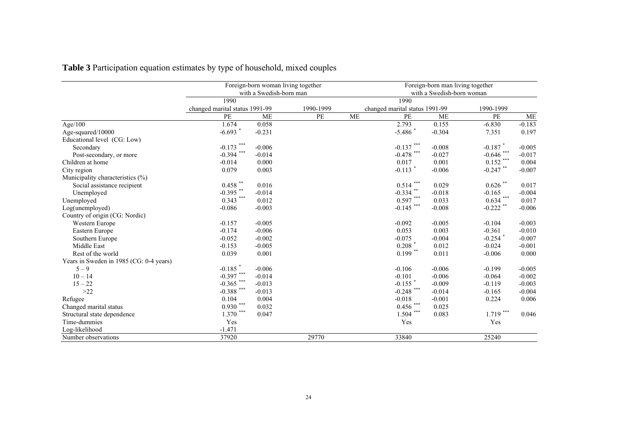|                                         |                                | Foreign-born woman living together<br>with a Swedish-born man |           | Foreign-born man living together<br>with a Swedish-born woman |                                |           |              |           |  |
|-----------------------------------------|--------------------------------|---------------------------------------------------------------|-----------|---------------------------------------------------------------|--------------------------------|-----------|--------------|-----------|--|
|                                         | 1990                           |                                                               |           |                                                               | 1990                           |           |              |           |  |
|                                         | changed marital status 1991-99 |                                                               | 1990-1999 |                                                               | changed marital status 1991-99 |           | 1990-1999    |           |  |
|                                         | PE                             | <b>ME</b>                                                     | $PE$      | <b>ME</b>                                                     | PE                             | <b>ME</b> | PE           | <b>ME</b> |  |
| Age/100                                 | 1.674                          | 0.058                                                         |           |                                                               | 2.793                          | 0.155     | $-6.830$     | $-0.183$  |  |
| Age-squared/10000                       | $-6.693$ *                     | $-0.231$                                                      |           |                                                               | $-5.486$ *                     | $-0.304$  | 7.351        | 0.197     |  |
| Educational level (CG: Low)             |                                |                                                               |           |                                                               |                                |           |              |           |  |
| Secondary                               | $-0.173$ ***                   | $-0.006$                                                      |           |                                                               | $-0.137$ ***                   | $-0.008$  | $-0.187$ *   | $-0.005$  |  |
| Post-secondary, or more                 | $-0.394$ ***                   | $-0.014$                                                      |           |                                                               | $-0.478$ ***                   | $-0.027$  | $-0.646$ *** | $-0.017$  |  |
| Children at home                        | $-0.014$                       | 0.000                                                         |           |                                                               | 0.017                          | 0.001     | $0.152$ ***  | 0.004     |  |
| City region                             | 0.079                          | 0.003                                                         |           |                                                               | $-0.113$ <sup>*</sup>          | $-0.006$  | $-0.247$ **  | $-0.007$  |  |
| Municipality characteristics (%)        |                                |                                                               |           |                                                               |                                |           |              |           |  |
| Social assistance recipient             | $0.458$ **                     | 0.016                                                         |           |                                                               | $0.514$ ***                    | 0.029     | $0.626$ **   | 0.017     |  |
| Unemployed                              | $-0.395$ **                    | $-0.014$                                                      |           |                                                               | $-0.334$ **                    | $-0.018$  | $-0.165$     | $-0.004$  |  |
| Unemployed                              | $0.343$ ***                    | 0.012                                                         |           |                                                               | $0.597$ ***                    | 0.033     | $0.634$ ***  | 0.017     |  |
| Log(unemployed)                         | $-0.086$                       | $-0.003$                                                      |           |                                                               | $-0.145$ ***                   | $-0.008$  | $-0.222$ **  | $-0.006$  |  |
| Country of origin (CG: Nordic)          |                                |                                                               |           |                                                               |                                |           |              |           |  |
| Western Europe                          | $-0.157$                       | $-0.005$                                                      |           |                                                               | $-0.092$                       | $-0.005$  | $-0.104$     | $-0.003$  |  |
| Eastern Europe                          | $-0.174$                       | $-0.006$                                                      |           |                                                               | 0.053                          | 0.003     | $-0.361$     | $-0.010$  |  |
| Southern Europe                         | $-0.052$                       | $-0.002$                                                      |           |                                                               | $-0.075$                       | $-0.004$  | $-0.254$ *   | $-0.007$  |  |
| Middle East                             | $-0.153$                       | $-0.005$                                                      |           |                                                               | $0.208$ $^\ast$                | 0.012     | $-0.024$     | $-0.001$  |  |
| Rest of the world                       | 0.039                          | 0.001                                                         |           |                                                               | $0.199$ **                     | 0.011     | $-0.006$     | 0.000     |  |
| Years in Sweden in 1985 (CG: 0-4 years) |                                |                                                               |           |                                                               |                                |           |              |           |  |
| $5 - 9$                                 | $-0.185$ *                     | $-0.006$                                                      |           |                                                               | $-0.106$                       | $-0.006$  | $-0.199$     | $-0.005$  |  |
| $10 - 14$                               | $-0.397$ ***                   | $-0.014$                                                      |           |                                                               | $-0.101$                       | $-0.006$  | $-0.064$     | $-0.002$  |  |
| $15 - 22$                               | $-0.365$ ***                   | $-0.013$                                                      |           |                                                               | $-0.155$ *                     | $-0.009$  | $-0.119$     | $-0.003$  |  |
| $>22$                                   | $-0.388$ ***                   | $-0.013$                                                      |           |                                                               | $-0.248$ ***                   | $-0.014$  | $-0.165$     | $-0.004$  |  |
| Refugee                                 | 0.104                          | 0.004                                                         |           |                                                               | $-0.018$                       | $-0.001$  | 0.224        | 0.006     |  |
| Changed marital status                  | $0.930$ ***                    | 0.032                                                         |           |                                                               | $0.456$ ***                    | 0.025     |              |           |  |
| Structural state dependence             | $1.370$ ***                    | 0.047                                                         |           |                                                               | $***$<br>1.504                 | 0.083     | $1.719***$   | 0.046     |  |
| Time-dummies                            | Yes                            |                                                               |           |                                                               | Yes                            |           | Yes          |           |  |
| Log-likelihood                          | $-1.471$                       |                                                               |           |                                                               |                                |           |              |           |  |
| Number observations                     | 37920                          |                                                               | 29770     |                                                               | 33840                          |           | 25240        |           |  |

**Table 3** Participation equation estimates by type of household, mixed couples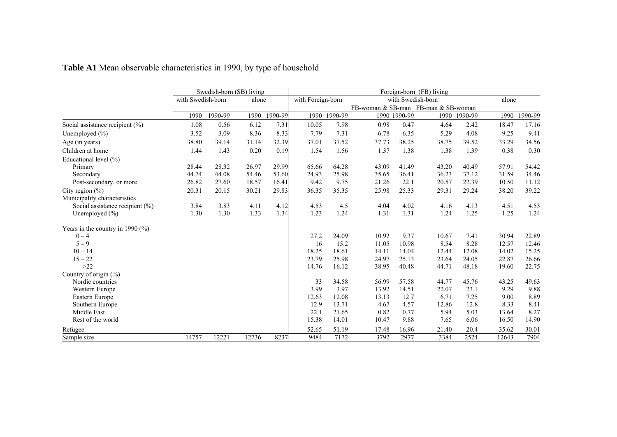|                                     | Swedish-born (SB) living |         | Foreign-born (FB) living |         |                   |              |                                     |              |       |              |       |         |
|-------------------------------------|--------------------------|---------|--------------------------|---------|-------------------|--------------|-------------------------------------|--------------|-------|--------------|-------|---------|
|                                     | with Swedish-born        |         | alone                    |         | with Foreign-born |              | with Swedish-born                   | alone        |       |              |       |         |
|                                     |                          |         |                          |         |                   |              | FB-woman & SB-man FB-man & SB-woman |              |       |              |       |         |
|                                     | 1990                     | 1990-99 | 1990                     | 1990-99 |                   | 1990 1990-99 |                                     | 1990 1990-99 |       | 1990 1990-99 | 1990  | 1990-99 |
| Social assistance recipient (%)     | 1.08                     | 0.56    | 6.12                     | 7.31    | 10.05             | 7.98         | 0.98                                | 0.47         | 4.64  | 2.42         | 18.47 | 17.16   |
| Unemployed $(\% )$                  | 3.52                     | 3.09    | 8.36                     | 8.33    | 7.79              | 7.31         | 6.78                                | 6.35         | 5.29  | 4.08         | 9.25  | 9.41    |
| Age (in years)                      | 38.80                    | 39.14   | 31.14                    | 32.39   | 37.01             | 37.52        | 37.73                               | 38.25        | 38.75 | 39.52        | 33.29 | 34.56   |
| Children at home                    | 1.44                     | 1.43    | 0.20                     | 0.19    | 1.54              | 1.56         | 1.37                                | 1.38         | 1.38  | 1.39         | 0.38  | 0.30    |
| Educational level (%)               |                          |         |                          |         |                   |              |                                     |              |       |              |       |         |
| Primary                             | 28.44                    | 28.32   | 26.97                    | 29.99   | 65.66             | 64.28        | 43.09                               | 41.49        | 43.20 | 40.49        | 57.91 | 54.42   |
| Secondary                           | 44.74                    | 44.08   | 54.46                    | 53.60   | 24.93             | 25.98        | 35.65                               | 36.41        | 36.23 | 37.12        | 31.59 | 34.46   |
| Post-secondary, or more             | 26.82                    | 27.60   | 18.57                    | 16.41   | 9.42              | 9.75         | 21.26                               | 22.1         | 20.57 | 22.39        | 10.50 | 11.12   |
| City region $(\% )$                 | 20.31                    | 20.15   | 30.21                    | 29.83   | 36.35             | 35.35        | 25.98                               | 25.33        | 29.31 | 29.24        | 38.20 | 39.22   |
| Municipality characteristics        |                          |         |                          |         |                   |              |                                     |              |       |              |       |         |
| Social assistance recipient (%)     | 3.84                     | 3.83    | 4.11                     | 4.12    | 4.53              | 4.5          | 4.04                                | 4.02         | 4.16  | 4.13         | 4.51  | 4.53    |
| Unemployed $(\% )$                  | 1.30                     | 1.30    | 1.33                     | 1.34    | 1.23              | 1.24         | 1.31                                | 1.31         | 1.24  | 1.25         | 1.25  | 1.24    |
| Years in the country in 1990 $(\%)$ |                          |         |                          |         |                   |              |                                     |              |       |              |       |         |
| $0 - 4$                             |                          |         |                          |         | 27.2              | 24.09        | 10.92                               | 9.37         | 10.67 | 7.41         | 30.94 | 22.89   |
| $5 - 9$                             |                          |         |                          |         | 16                | 15.2         | 11.05                               | 10.98        | 8.54  | 8.28         | 12.57 | 12.46   |
| $10 - 14$                           |                          |         |                          |         | 18.25             | 18.61        | 14.11                               | 14.04        | 12.44 | 12.08        | 14.02 | 15.25   |
| $15 - 22$                           |                          |         |                          |         | 23.79             | 25.98        | 24.97                               | 25.13        | 23.64 | 24.05        | 22.87 | 26.66   |
| $>22$                               |                          |         |                          |         | 14.76             | 16.12        | 38.95                               | 40.48        | 44.71 | 48.18        | 19.60 | 22.75   |
| Country of origin (%)               |                          |         |                          |         |                   |              |                                     |              |       |              |       |         |
| Nordic countries                    |                          |         |                          |         | 33                | 34.58        | 56.99                               | 57.58        | 44.77 | 45.76        | 43.25 | 49.63   |
| Western Europe                      |                          |         |                          |         | 3.99              | 3.97         | 13.92                               | 14.51        | 22.07 | 23.1         | 9.29  | 9.88    |
| Eastern Europe                      |                          |         |                          |         | 12.63             | 12.08        | 13.13                               | 12.7         | 6.71  | 7.25         | 9.00  | 8.89    |
| Southern Europe                     |                          |         |                          |         | 12.9              | 13.71        | 4.67                                | 4.57         | 12.86 | 12.8         | 8.33  | 8.41    |
| Middle East                         |                          |         |                          |         | 22.1              | 21.65        | 0.82                                | 0.77         | 5.94  | 5.03         | 13.64 | 8.27    |
| Rest of the world                   |                          |         |                          |         | 15.38             | 14.01        | 10.47                               | 9.88         | 7.65  | 6.06         | 16.50 | 14.90   |
| Refugee                             |                          |         |                          |         | 52.65             | 51.19        | 17.48                               | 16.96        | 21.40 | 20.4         | 35.62 | 30.01   |
| Sample size                         | 14757                    | 12221   | 12736                    | 8237    | 9484              | 7172         | 3792                                | 2977         | 3384  | 2524         | 12643 | 7904    |

**Table A1** Mean observable characteristics in 1990, by type of household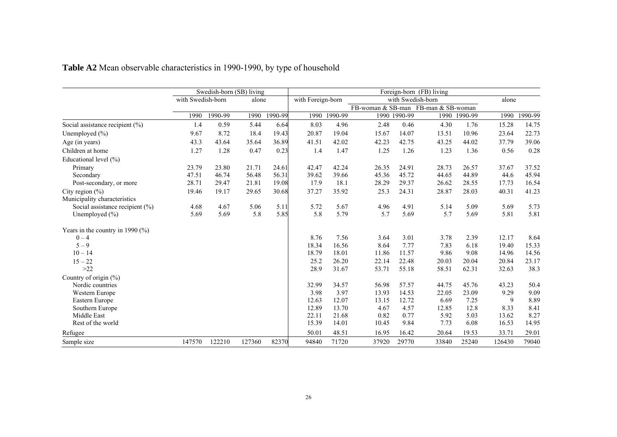|                                      | Swedish-born (SB) living |         |        |         | Foreign-born (FB) living |         |                                     |                   |       |         |        |         |
|--------------------------------------|--------------------------|---------|--------|---------|--------------------------|---------|-------------------------------------|-------------------|-------|---------|--------|---------|
|                                      | with Swedish-born        |         | alone  |         | with Foreign-born        |         |                                     | with Swedish-born |       |         | alone  |         |
|                                      |                          |         |        |         |                          |         | FB-woman & SB-man FB-man & SB-woman |                   |       |         |        |         |
|                                      | 1990                     | 1990-99 | 1990   | 1990-99 | 1990                     | 1990-99 |                                     | 1990 1990-99      | 1990  | 1990-99 | 1990   | 1990-99 |
| Social assistance recipient (%)      | 1.4                      | 0.59    | 5.44   | 6.64    | 8.03                     | 4.96    | 2.48                                | 0.46              | 4.30  | 1.76    | 15.28  | 14.75   |
| Unemployed $(\% )$                   | 9.67                     | 8.72    | 18.4   | 19.43   | 20.87                    | 19.04   | 15.67                               | 14.07             | 13.51 | 10.96   | 23.64  | 22.73   |
| Age (in years)                       | 43.3                     | 43.64   | 35.64  | 36.89   | 41.51                    | 42.02   | 42.23                               | 42.75             | 43.25 | 44.02   | 37.79  | 39.06   |
| Children at home                     | 1.27                     | 1.28    | 0.47   | 0.23    | 1.4                      | 1.47    | 1.25                                | 1.26              | 1.23  | 1.36    | 0.56   | 0.28    |
| Educational level (%)                |                          |         |        |         |                          |         |                                     |                   |       |         |        |         |
| Primary                              | 23.79                    | 23.80   | 21.71  | 24.61   | 42.47                    | 42.24   | 26.35                               | 24.91             | 28.73 | 26.57   | 37.67  | 37.52   |
| Secondary                            | 47.51                    | 46.74   | 56.48  | 56.31   | 39.62                    | 39.66   | 45.36                               | 45.72             | 44.65 | 44.89   | 44.6   | 45.94   |
| Post-secondary, or more              | 28.71                    | 29.47   | 21.81  | 19.08   | 17.9                     | 18.1    | 28.29                               | 29.37             | 26.62 | 28.55   | 17.73  | 16.54   |
| City region $(\% )$                  | 19.46                    | 19.17   | 29.65  | 30.68   | 37.27                    | 35.92   | 25.3                                | 24.31             | 28.87 | 28.03   | 40.31  | 41.23   |
| Municipality characteristics         |                          |         |        |         |                          |         |                                     |                   |       |         |        |         |
| Social assistance recipient $(\% )$  | 4.68                     | 4.67    | 5.06   | 5.11    | 5.72                     | 5.67    | 4.96                                | 4.91              | 5.14  | 5.09    | 5.69   | 5.73    |
| Unemployed $(\% )$                   | 5.69                     | 5.69    | 5.8    | 5.85    | 5.8                      | 5.79    | 5.7                                 | 5.69              | 5.7   | 5.69    | 5.81   | 5.81    |
| Years in the country in 1990 $(\% )$ |                          |         |        |         |                          |         |                                     |                   |       |         |        |         |
| $0 - 4$                              |                          |         |        |         | 8.76                     | 7.56    | 3.64                                | 3.01              | 3.78  | 2.39    | 12.17  | 8.64    |
| $5 - 9$                              |                          |         |        |         | 18.34                    | 16.56   | 8.64                                | 7.77              | 7.83  | 6.18    | 19.40  | 15.33   |
| $10 - 14$                            |                          |         |        |         | 18.79                    | 18.01   | 11.86                               | 11.57             | 9.86  | 9.08    | 14.96  | 14.56   |
| $15 - 22$                            |                          |         |        |         | 25.2                     | 26.20   | 22.14                               | 22.48             | 20.03 | 20.04   | 20.84  | 23.17   |
| $>22$                                |                          |         |        |         | 28.9                     | 31.67   | 53.71                               | 55.18             | 58.51 | 62.31   | 32.63  | 38.3    |
| Country of origin $(\% )$            |                          |         |        |         |                          |         |                                     |                   |       |         |        |         |
| Nordic countries                     |                          |         |        |         | 32.99                    | 34.57   | 56.98                               | 57.57             | 44.75 | 45.76   | 43.23  | 50.4    |
| Western Europe                       |                          |         |        |         | 3.98                     | 3.97    | 13.93                               | 14.53             | 22.05 | 23.09   | 9.29   | 9.09    |
| Eastern Europe                       |                          |         |        |         | 12.63                    | 12.07   | 13.15                               | 12.72             | 6.69  | 7.25    | 9      | 8.89    |
| Southern Europe                      |                          |         |        |         | 12.89                    | 13.70   | 4.67                                | 4.57              | 12.85 | 12.8    | 8.33   | 8.41    |
| Middle East                          |                          |         |        |         | 22.11                    | 21.68   | 0.82                                | 0.77              | 5.92  | 5.03    | 13.62  | 8.27    |
| Rest of the world                    |                          |         |        |         | 15.39                    | 14.01   | 10.45                               | 9.84              | 7.73  | 6.08    | 16.53  | 14.95   |
| Refugee                              |                          |         |        |         | 50.01                    | 48.51   | 16.95                               | 16.42             | 20.64 | 19.53   | 33.71  | 29.01   |
| Sample size                          | 147570                   | 122210  | 127360 | 82370   | 94840                    | 71720   | 37920                               | 29770             | 33840 | 25240   | 126430 | 79040   |

# **Table A2** Mean observable characteristics in 1990-1990, by type of household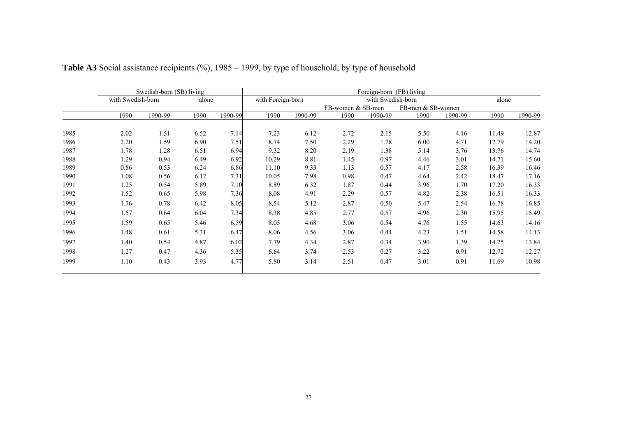|      |                   | Swedish-born (SB) living |       |         | Foreign-born (FB) living |         |                   |                   |                   |         |       |             |  |  |
|------|-------------------|--------------------------|-------|---------|--------------------------|---------|-------------------|-------------------|-------------------|---------|-------|-------------|--|--|
|      | with Swedish-born |                          | alone |         | with Foreign-born        |         |                   | with Swedish-born |                   | alone   |       |             |  |  |
|      |                   |                          |       |         |                          |         | FB-women & SB-men |                   | FB-men & SB-women |         |       |             |  |  |
|      | 1990              | 1990-99                  | 1990  | 1990-99 | 1990                     | 1990-99 | 1990              | 1990-99           | 1990              | 1990-99 | 1990  | $1990 - 99$ |  |  |
| 1985 | 2.02              | 1.51                     | 6.52  | 7.14    | 7.23                     | 6.12    | 2.72              | 2.15              | 5.50              | 4.16    | 11.49 | 12.87       |  |  |
| 1986 | 2.20              | 1.59                     | 6.90  | 7.51    | 8.74                     | 7.50    | 2.29              | 1.78              | 6.00              | 4.71    | 12.79 | 14.20       |  |  |
| 1987 | 1.78              | 1.28                     | 6.51  | 6.94    | 9.32                     | 8.20    | 2.19              | 1.38              | 5.14              | 3.76    | 13.76 | 14.74       |  |  |
| 1988 | 1.29              | 0.94                     | 6.49  | 6.92    | 10.29                    | 8.81    | 1.45              | 0.97              | 4.46              | 3.01    | 14.71 | 15.60       |  |  |
| 1989 | 0.86              | 0.53                     | 6.24  | 6.86    | 11.10                    | 9.33    | 1.13              | 0.57              | 4.17              | 2.58    | 16.39 | 16.46       |  |  |
| 1990 | 1.08              | 0.56                     | 6.12  | 7.31    | 10.05                    | 7.98    | 0.98              | 0.47              | 4.64              | 2.42    | 18.47 | 17.16       |  |  |
| 1991 | 1.25              | 0.54                     | 5.89  | 7.10    | 8.89                     | 6.32    | 1.87              | 0.44              | 3.96              | 1.70    | 17.20 | 16.33       |  |  |
| 1992 | 1.52              | 0.65                     | 5.98  | 7.36    | 8.08                     | 4.91    | 2.29              | 0.57              | 4.82              | 2.38    | 16.51 | 16.33       |  |  |
| 1993 | 1.76              | 0.78                     | 6.42  | 8.05    | 8.54                     | 5.12    | 2.87              | 0.50              | 5.47              | 2.54    | 16.78 | 16.85       |  |  |
| 1994 | 1.57              | 0.64                     | 6.04  | 7.34    | 8.38                     | 4.85    | 2.77              | 0.57              | 4.96              | 2.30    | 15.95 | 15.49       |  |  |
| 1995 | 1.59              | 0.65                     | 5.46  | 6.59    | 8.05                     | 4.68    | 3.06              | 0.54              | 4.76              | 1.55    | 14.63 | 14.16       |  |  |
| 1996 | 1.48              | 0.61                     | 5.31  | 6.47    | 8.06                     | 4.56    | 3.06              | 0.44              | 4.23              | 1.51    | 14.58 | 14.13       |  |  |
| 1997 | 1.40              | 0.54                     | 4.87  | 6.02    | 7.79                     | 4.34    | 2.87              | 0.34              | 3.90              | 1.39    | 14.25 | 13.84       |  |  |
| 1998 | 1.27              | 0.47                     | 4.36  | 5.35    | 6.64                     | 3.74    | 2.53              | 0.27              | 3.22              | 0.91    | 12.72 | 12.27       |  |  |
| 1999 | 1.10              | 0.43                     | 3.93  | 4.77    | 5.80                     | 3.14    | 2.51              | 0.47              | 3.01              | 0.91    | 11.69 | 10.98       |  |  |

# Table A3 Social assistance recipients (%), 1985 – 1999, by type of household, by type of household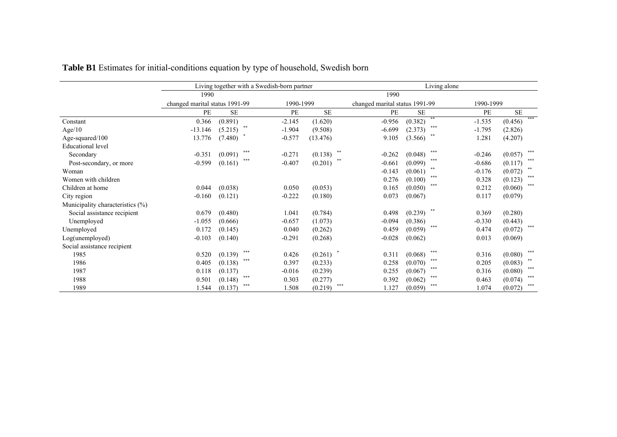|                                  |                                |                | Living together with a Swedish-born partner |               | Living alone |                                |          |           |     |  |
|----------------------------------|--------------------------------|----------------|---------------------------------------------|---------------|--------------|--------------------------------|----------|-----------|-----|--|
|                                  | 1990                           |                |                                             |               |              |                                |          |           |     |  |
|                                  | changed marital status 1991-99 |                | 1990-1999                                   |               |              | changed marital status 1991-99 |          |           |     |  |
|                                  | PE                             | <b>SE</b>      | PE                                          | <b>SE</b>     | PE           | <b>SE</b>                      | PE       | <b>SE</b> |     |  |
| Constant                         | 0.366                          | (0.891)        | $-2.145$                                    | (1.620)       | $-0.956$     | **<br>(0.382)                  | $-1.535$ | (0.456)   | *** |  |
| Age/10                           | $-13.146$                      | **<br>(5.215)  | $-1.904$                                    | (9.508)       | $-6.699$     | ***<br>(2.373)                 | $-1.795$ | (2.826)   |     |  |
| Age-squared/100                  | 13.776                         | (7.480)        | $-0.577$                                    | (13.476)      | 9.105        | **<br>(3.566)                  | 1.281    | (4.207)   |     |  |
| <b>Educational</b> level         |                                |                |                                             |               |              |                                |          |           |     |  |
| Secondary                        | $-0.351$                       | ***<br>(0.091) | $-0.271$                                    | **<br>(0.138) | $-0.262$     | $***$<br>(0.048)               | $-0.246$ | (0.057)   | *** |  |
| Post-secondary, or more          | $-0.599$                       | ***<br>(0.161) | $-0.407$                                    | **<br>(0.201) | $-0.661$     | ***<br>(0.099)                 | $-0.686$ | (0.117)   | *** |  |
| Woman                            |                                |                |                                             |               | $-0.143$     | **<br>(0.061)                  | $-0.176$ | (0.072)   | **  |  |
| Women with children              |                                |                |                                             |               | 0.276        | ***<br>(0.100)                 | 0.328    | (0.123)   | *** |  |
| Children at home                 | 0.044                          | (0.038)        | 0.050                                       | (0.053)       | 0.165        | ***<br>(0.050)                 | 0.212    | (0.060)   | *** |  |
| City region                      | $-0.160$                       | (0.121)        | $-0.222$                                    | (0.180)       | 0.073        | (0.067)                        | 0.117    | (0.079)   |     |  |
| Municipality characteristics (%) |                                |                |                                             |               |              |                                |          |           |     |  |
| Social assistance recipient      | 0.679                          | (0.480)        | 1.041                                       | (0.784)       | 0.498        | (0.239)                        | 0.369    | (0.280)   |     |  |
| Unemployed                       | $-1.055$                       | (0.666)        | $-0.657$                                    | (1.073)       | $-0.094$     | (0.386)                        | $-0.330$ | (0.443)   |     |  |
| Unemployed                       | 0.172                          | (0.145)        | 0.040                                       | (0.262)       | 0.459        | ***<br>(0.059)                 | 0.474    | (0.072)   | *** |  |
| Log(unemployed)                  | $-0.103$                       | (0.140)        | $-0.291$                                    | (0.268)       | $-0.028$     | (0.062)                        | 0.013    | (0.069)   |     |  |
| Social assistance recipient      |                                |                |                                             |               |              |                                |          |           |     |  |
| 1985                             | 0.520                          | ***<br>(0.139) | 0.426                                       | (0.261)       | 0.311        | ***<br>(0.068)                 | 0.316    | (0.080)   | *** |  |
| 1986                             | 0.405                          | ***<br>(0.138) | 0.397                                       | (0.233)       | 0.258        | ***<br>(0.070)                 | 0.205    | (0.083)   | **  |  |
| 1987                             | 0.118                          | (0.137)        | $-0.016$                                    | (0.239)       | 0.255        | ***<br>(0.067)                 | 0.316    | (0.080)   | *** |  |
| 1988                             | 0.501                          | ***<br>(0.148) | 0.303                                       | (0.277)       | 0.392        | ***<br>(0.062)                 | 0.463    | (0.074)   | *** |  |
| 1989                             | .544                           | ***<br>(0.137) | 1.508                                       | (0.219)       | ***<br>1.127 | ***<br>(0.059)                 | 1.074    | (0.072)   | *** |  |

# **Table B1** Estimates for initial-conditions equation by type of household, Swedish born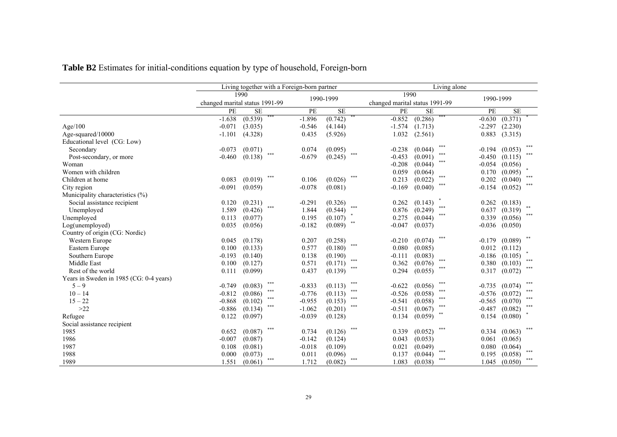|                                         |                                |           |     | Living together with a Foreign-born partner |           |         | Living alone |                                |     |           |           |     |
|-----------------------------------------|--------------------------------|-----------|-----|---------------------------------------------|-----------|---------|--------------|--------------------------------|-----|-----------|-----------|-----|
|                                         |                                | 1990      |     |                                             | 1990-1999 |         | 1990         |                                |     | 1990-1999 |           |     |
|                                         | changed marital status 1991-99 |           |     |                                             |           |         |              | changed marital status 1991-99 |     |           |           |     |
|                                         | PE                             | <b>SE</b> |     | PE                                          | <b>SE</b> |         | PE           | <b>SE</b>                      |     | PE        | <b>SE</b> |     |
|                                         | $-1.638$                       | (0.539)   |     | $-1.896$                                    | (0.742)   |         | $-0.852$     | (0.286)                        |     | $-0.630$  | (0.371)   |     |
| Age/100                                 | $-0.071$                       | (3.035)   |     | $-0.546$                                    | (4.144)   |         | $-1.574$     | (1.713)                        |     | $-2.297$  | (2.230)   |     |
| Age-squared/10000                       | $-1.101$                       | (4.328)   |     | 0.435                                       | (5.926)   |         | 1.032        | (2.561)                        |     | 0.883     | (3.315)   |     |
| Educational level (CG: Low)             |                                |           |     |                                             |           |         |              |                                |     |           |           |     |
| Secondary                               | $-0.073$                       | (0.071)   |     | 0.074                                       | (0.095)   |         | $-0.238$     | (0.044)                        | *** | $-0.194$  | (0.053)   | *** |
| Post-secondary, or more                 | $-0.460$                       | (0.138)   | *** | $-0.679$                                    | (0.245)   | ***     | $-0.453$     | (0.091)                        | *** | $-0.450$  | (0.115)   | *** |
| Woman                                   |                                |           |     |                                             |           |         | $-0.208$     | (0.044)                        | *** | $-0.054$  | (0.056)   |     |
| Women with children                     |                                |           |     |                                             |           |         | 0.059        | (0.064)                        |     | 0.170     | (0.095)   |     |
| Children at home                        | 0.083                          | (0.019)   | *** | 0.106                                       | (0.026)   | ***     | 0.213        | (0.022)                        | *** | 0.202     | (0.040)   | *** |
| City region                             | $-0.091$                       | (0.059)   |     | $-0.078$                                    | (0.081)   |         | $-0.169$     | (0.040)                        | *** | $-0.154$  | (0.052)   | *** |
| Municipality characteristics (%)        |                                |           |     |                                             |           |         |              |                                |     |           |           |     |
| Social assistance recipient             | 0.120                          | (0.231)   |     | $-0.291$                                    | (0.326)   |         | 0.262        | (0.143)                        |     | 0.262     | (0.183)   |     |
| Unemployed                              | 1.589                          | (0.426)   | *** | 1.844                                       | (0.544)   | ***     | 0.876        | (0.249)                        | *** | 0.637     | (0.319)   | **  |
| Unemployed                              | 0.113                          | (0.077)   |     | 0.195                                       | (0.107)   |         | 0.275        | (0.044)                        | *** | 0.339     | (0.056)   | *** |
| Log(unemployed)                         | 0.035                          | (0.056)   |     | $-0.182$                                    | (0.089)   | $* *$   | $-0.047$     | (0.037)                        |     | $-0.036$  | (0.050)   |     |
| Country of origin (CG: Nordic)          |                                |           |     |                                             |           |         |              |                                |     |           |           |     |
| Western Europe                          | 0.045                          | (0.178)   |     | 0.207                                       | (0.258)   |         | $-0.210$     | (0.074)                        | *** | $-0.179$  | (0.089)   | **  |
| Eastern Europe                          | 0.100                          | (0.133)   |     | 0.577                                       | (0.180)   | ***     | 0.080        | (0.085)                        |     | 0.012     | (0.112)   |     |
| Southern Europe                         | $-0.193$                       | (0.140)   |     | 0.138                                       | (0.190)   |         | $-0.111$     | (0.083)                        |     | $-0.186$  | (0.105)   |     |
| Middle East                             | 0.100                          | (0.127)   |     | 0.571                                       | (0.171)   | $* * *$ | 0.362        | (0.076)                        | *** | 0.380     | (0.103)   | *** |
| Rest of the world                       | 0.111                          | (0.099)   |     | 0.437                                       | (0.139)   | $***$   | 0.294        | (0.055)                        | *** | 0.317     | (0.072)   | *** |
| Years in Sweden in 1985 (CG: 0-4 years) |                                |           |     |                                             |           |         |              |                                |     |           |           |     |
| $5 - 9$                                 | $-0.749$                       | (0.083)   | *** | $-0.833$                                    | (0.113)   | ***     | $-0.622$     | (0.056)                        | *** | $-0.735$  | (0.074)   | *** |
| $10 - 14$                               | $-0.812$                       | (0.086)   | *** | $-0.776$                                    | (0.113)   | $* * *$ | $-0.526$     | (0.058)                        | *** | $-0.576$  | (0.072)   | *** |
| $15 - 22$                               | $-0.868$                       | (0.102)   | *** | $-0.955$                                    | (0.153)   | ***     | $-0.541$     | (0.058)                        | *** | $-0.565$  | (0.070)   | *** |
| $>22$                                   | $-0.886$                       | (0.134)   | *** | $-1.062$                                    | (0.201)   | ***     | $-0.511$     | (0.067)                        | *** | $-0.487$  | (0.082)   | *** |
| Refugee                                 | 0.122                          | (0.097)   |     | $-0.039$                                    | (0.128)   |         | 0.134        | (0.059)                        | **  | 0.154     | (0.080)   |     |
| Social assistance recipient             |                                |           |     |                                             |           |         |              |                                |     |           |           |     |
| 1985                                    | 0.652                          | (0.087)   | *** | 0.734                                       | (0.126)   | ***     | 0.339        | (0.052)                        | *** | 0.334     | (0.063)   | *** |
| 1986                                    | $-0.007$                       | (0.087)   |     | $-0.142$                                    | (0.124)   |         | 0.043        | (0.053)                        |     | 0.061     | (0.065)   |     |
| 1987                                    | 0.108                          | (0.081)   |     | $-0.018$                                    | (0.109)   |         | 0.021        | (0.049)                        |     | 0.080     | (0.064)   |     |
| 1988                                    | 0.000                          | (0.073)   |     | 0.011                                       | (0.096)   |         | 0.137        | (0.044)                        | *** | 0.195     | (0.058)   | *** |
| 1989                                    | 1.551                          | (0.061)   | *** | 1.712                                       | (0.082)   | ***     | 1.083        | (0.038)                        | *** | 1.045     | (0.050)   | *** |

**Table B2** Estimates for initial-conditions equation by type of household, Foreign-born